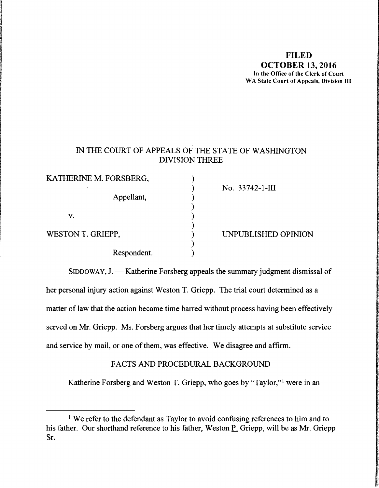#### **FILED OCTOBER 13, 2016 In the Office of the Clerk of Court WA State Court of Appeals, Division** III

### IN THE COURT OF APPEALS OF THE STATE OF WASHINGTON DIVISION THREE

| KATHERINE M. FORSBERG, |                     |  |
|------------------------|---------------------|--|
|                        | No. 33742-1-III     |  |
| Appellant,             |                     |  |
|                        |                     |  |
| v.                     |                     |  |
|                        |                     |  |
| WESTON T. GRIEPP,      | UNPUBLISHED OPINION |  |
|                        |                     |  |
| Respondent.            |                     |  |

la de la componenta de la componenta de la componenta de la componenta de la componenta de la componenta de la<br>La componenta de la componenta de la componenta de la componenta de la componenta de la componenta de la compo

I

 $SIDDOWAY, J.$  - Katherine Forsberg appeals the summary judgment dismissal of her personal injury action against Weston T. Griepp. The trial court determined as a matter of law that the action became time barred without process having been effectively served on Mr. Griepp. Ms. Forsberg argues that her timely attempts at substitute service and service by mail, or one of them, was effective. We disagree and affirm.

### FACTS AND PROCEDURAL BACKGROUND

Katherine Forsberg and Weston T. Griepp, who goes by "Taylor,"<sup>1</sup> were in an

<sup>&</sup>lt;sup>1</sup> We refer to the defendant as Taylor to avoid confusing references to him and to his father. Our shorthand reference to his father, Weston P. Griepp, will be as Mr. Griepp Sr.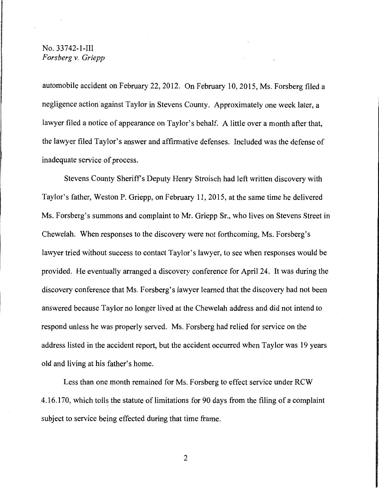automobile accident on February 22, 2012. On February 10, 2015, Ms. Forsberg filed a negligence action against Taylor in Stevens County. Approximately one week later, a lawyer filed a notice of appearance on Taylor's behalf. A little over a month after that, the lawyer filed Taylor's answer and affirmative defenses. Included was the defense of inadequate service of process.

Stevens County Sheriffs Deputy Henry Stroisch had left written discovery with Taylor's father, Weston P. Griepp, on February 11, 2015, at the same time he delivered Ms. Forsberg's summons and complaint to Mr. Griepp Sr., who lives on Stevens Street in Chewelah. When responses to the discovery were not forthcoming, Ms. Forsberg's lawyer tried without success to contact Taylor's lawyer, to see when responses would be provided. He eventually arranged a discovery conference for April 24. It was during the discovery conference that Ms. Forsberg's lawyer learned that the discovery had not been answered because Taylor no longer lived at the Chewelah address and did not intend to respond unless he was properly served. Ms. Forsberg had relied for service on the address listed in the accident report, but the accident occurred when Taylor was 19 years old and living at his father's home.

Less than one month remained for Ms. Forsberg to effect service under RCW 4.16.170, which tolls the statute of limitations for 90 days from the filing of a complaint subject to service being effected during that time frame.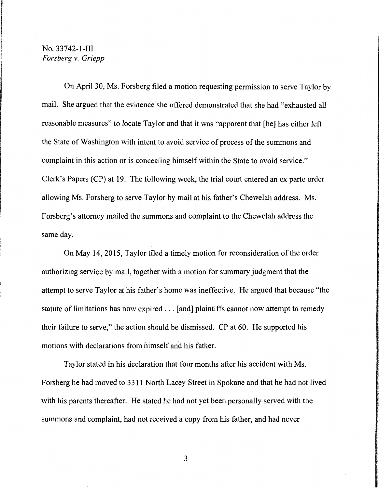On April 30, Ms. Forsberg filed a motion requesting permission to serve Taylor by mail. She argued that the evidence she offered demonstrated that she had "exhausted all reasonable measures" to locate Taylor and that it was "apparent that [he] has either left the State of Washington with intent to avoid service of process of the summons and complaint in this action or is concealing himself within the State to avoid service." Clerk's Papers (CP) at 19. The following week, the trial court entered an ex parte order allowing Ms. Forsberg to serve Taylor by mail at his father's Chewelah address. Ms. Forsberg's attorney mailed the summons and complaint to the Chewelah address the same day.

On May 14, 2015, Taylor filed a timely motion for reconsideration of the order authorizing service by mail, together with a motion for summary judgment that the attempt to serve Taylor at his father's home was ineffective. He argued that because "the statute of limitations has now expired ... [and] plaintiffs cannot now attempt to remedy their failure to serve," the action should be dismissed. CP at 60. He supported his motions with declarations from himself and his father.

Taylor stated in his declaration that four months after his accident with Ms. Forsberg he had moved to 3311 North Lacey Street in Spokane and that he had not lived with his parents thereafter. He stated he had not yet been personally served with the summons and complaint, had not received a copy from his father, and had never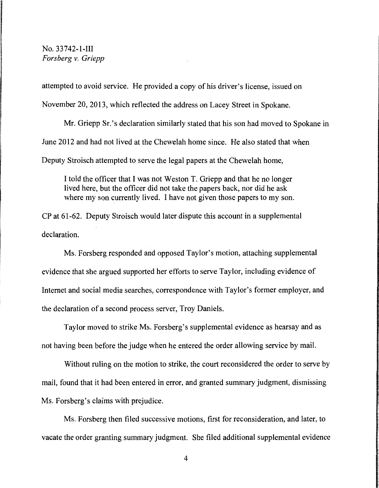attempted to avoid service. He provided a copy of his driver's license, issued on November 20, 2013, which reflected the address on Lacey Street in Spokane.

Mr. Griepp Sr.'s declaration similarly stated that his son had moved to Spokane in June 2012 and had not lived at the Chewelah home since. He also stated that when Deputy Stroisch attempted to serve the legal papers at the Chewelah home,

I told the officer that I was not Weston T. Griepp and that he no longer lived here, but the officer did not take the papers back, nor did he ask where my son currently lived. I have not given those papers to my son.

CP at 61-62. Deputy Stroisch would later dispute this account in a supplemental declaration.

Ms. Forsberg responded and opposed Taylor's motion, attaching supplemental evidence that she argued supported her efforts to serve Taylor, including evidence of Internet and social media searches, correspondence with Taylor's former employer, and the declaration of a second process server, Troy Daniels.

Taylor moved to strike Ms. Forsberg's supplemental evidence as hearsay and as not having been before the judge when he entered the order allowing service by mail.

Without ruling on the motion to strike, the court reconsidered the order to serve by mail, found that it had been entered in error, and granted summary judgment, dismissing Ms. Forsberg's claims with prejudice.

Ms. Forsberg then filed successive motions, first for reconsideration, and later, to vacate the order granting summary judgment. She filed additional supplemental evidence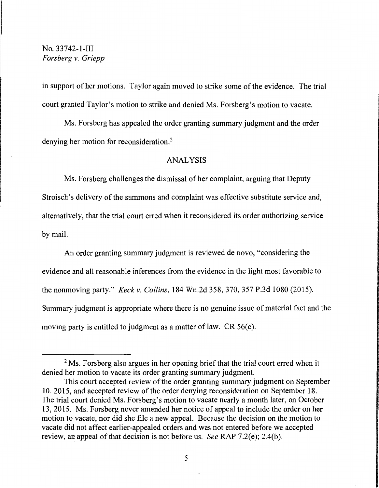in support of her motions. Taylor again moved to strike some of the evidence. The trial court granted Taylor's motion to strike and denied Ms. Forsberg's motion to vacate.

Ms. Forsberg has appealed the order granting summary judgment and the order denying her motion for reconsideration. 2

### ANALYSIS

Ms. Forsberg challenges the dismissal of her complaint, arguing that Deputy Stroisch's delivery of the summons and complaint was effective substitute service and, alternatively, that the trial court erred when it reconsidered its order authorizing service by mail.

An order granting summary judgment is reviewed de novo, "considering the evidence and all reasonable inferences from the evidence in the light most favorable to the nonmoving party." *Keckv. Collins,* 184 Wn.2d 358,370,357 P.3d 1080 (2015). Summary judgment is appropriate where there is no genuine issue of material fact and the moving party is entitled to judgment as a matter of law. CR 56(c).

<sup>&</sup>lt;sup>2</sup> Ms. Forsberg also argues in her opening brief that the trial court erred when it denied her motion to vacate its order granting summary judgment.

This court accepted review of the order granting summary judgment on September 10, 2015, and accepted review of the order denying reconsideration on September 18. The trial court denied Ms. Forsberg's motion to vacate nearly a month later, on October 13, 2015. Ms. Forsberg never amended her notice of appeal to include the order on her motion to vacate, nor did she file a new appeal. Because the decision on the motion to vacate did not affect earlier-appealed orders and was not entered before we accepted review, an appeal of that decision is not before us. *See* RAP 7.2(e); 2.4(b).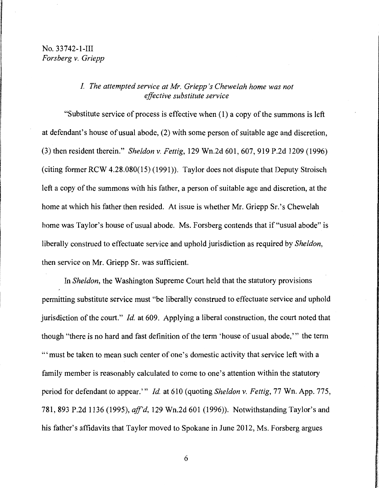### *I. The attempted service at Mr. Griepp 's Chewelah home was not effective substitute service*

"Substitute service of process is effective when  $(1)$  a copy of the summons is left at defendant's house of usual abode, (2) with some person of suitable age and discretion, (3) then resident therein." *Sheldon* v. *Fettig,* 129 Wn.2d 601, 607, 919 P.2d 1209 (1996) (citing former RCW 4.28.080(15) (1991)). Taylor does not dispute that Deputy Stroisch left a copy of the summons with his father, a person of suitable age and discretion, at the home at which his father then resided. At issue is whether Mr. Griepp Sr.'s Chewelah home was Taylor's house of usual abode. Ms. Forsberg contends that if "usual abode" is liberally construed to effectuate service and uphold jurisdiction as required by *Sheldon,*  then service on Mr. Griepp Sr. was sufficient.

In *Sheldon,* the Washington Supreme Court held that the statutory provisions permitting substitute service must "be liberally construed to effectuate service and uphold jurisdiction of the court." *Id.* at 609. Applying a liberal construction, the court noted that though "there is no hard and fast definition of the term 'house of usual abode,"' the term "' must be taken to mean such center of one's domestic activity that service left with a family member is reasonably calculated to come to one's attention within the statutory period for defendant to appear.'" *Id.* at 610 (quoting *Sheldon* v. *Fettig,* 77 Wn. App. 775, 781,893 P.2d 1136 (1995), *aff'd,* 129 Wn.2d 601 (1996)). Notwithstanding Taylor's and his father's affidavits that Taylor moved to Spokane in June 2012, Ms. Forsberg argues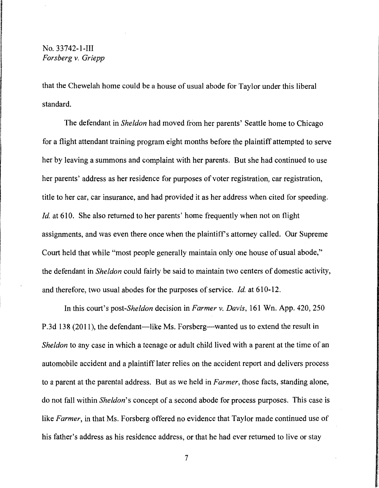that the Chewelah home could be a house of usual abode for Taylor under this liberal standard.

The defendant in *Sheldon* had moved from her parents' Seattle home to Chicago for a flight attendant training program eight months before the plaintiff attempted to serve her by leaving a summons and complaint with her parents. But she had continued to use her parents' address as her residence for purposes of voter registration, car registration, title to her car, car insurance, and had provided it as her address when cited for speeding. *Id.* at 610. She also returned to her parents' home frequently when not on flight assignments, and was even there once when the plaintiff's attorney called. Our Supreme Court held that while "most people generally maintain only one house of usual abode," the defendant in *Sheldon* could fairly be said to maintain two centers of domestic activity, and therefore, two usual abodes for the purposes of service. *Id.* at 610-12.

In this court's *post-Sheldon* decision in *Farmer v. Davis,* 161 Wn. App. 420,250 P.3d 138 (2011), the defendant—like Ms. Forsberg—wanted us to extend the result in *Sheldon* to any case in which a teenage or adult child lived with a parent at the time of an automobile accident and a plaintiff later relies on the accident report and delivers process to a parent at the parental address. But as we held in *Farmer,* those facts, standing alone, do not fall within *Sheldon's* concept of a second abode for process purposes. This case is like *Farmer*, in that Ms. Forsberg offered no evidence that Taylor made continued use of his father's address as his residence address, or that he had ever returned to live or stay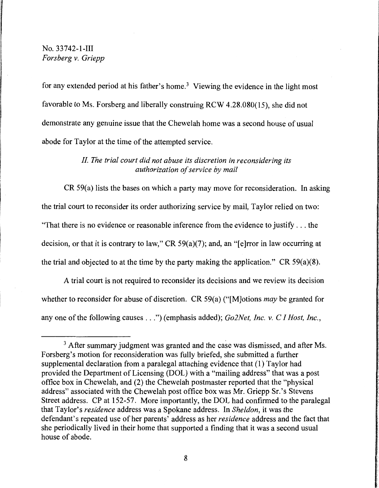for any extended period at his father's home.<sup>3</sup> Viewing the evidence in the light most favorable to Ms. Forsberg and liberally construing RCW 4.28.080(15), she did not demonstrate any genuine issue that the Chewelah home was a second house of usual abode for Taylor at the time of the attempted service.

## *II. The trial court did not abuse its discretion in reconsidering its authorization of service by mail*

CR 59(a) lists the bases on which a party may move for reconsideration. In asking the trial court to reconsider its order authorizing service by mail, Taylor relied on two: "That there is no evidence or reasonable inference from the evidence to justify ... the decision, or that it is contrary to law," CR 59(a)(7); and, an "[e]rror in law occurring at the trial and objected to at the time by the party making the application." CR  $59(a)(8)$ .

A trial court is not required to reconsider its decisions and we review its decision whether to reconsider for abuse of discretion. CR 59(a) ("[M]otions *may* be granted for any one of the following causes ... ") (emphasis added); *Go2Net, Inc. v. CI Host, Inc.,* 

 $3$  After summary judgment was granted and the case was dismissed, and after Ms. Forsberg's motion for reconsideration was fully briefed, she submitted a further supplemental declaration from a paralegal attaching evidence that ( 1) Taylor had provided the Department of Licensing (DOL) with a "mailing address" that was a post office box in Chewelah, and (2) the Chewelah postmaster reported that the "physical address" associated with the Chewelah post office box was Mr. Griepp Sr.'s Stevens Street address. CP at 152-57. More importantly, the DOL had confirmed to the paralegal that Taylor's *residence* address was a Spokane address. In *Sheldon,* it was the defendant's repeated use of her parents' address as her *residence* address and the fact that she periodically lived in their home that supported a finding that it was a second usual house of abode.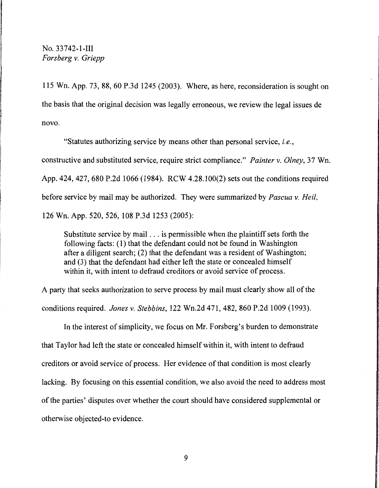115 Wn. App. 73, 88, 60 P.3d 1245 (2003). Where, as here, reconsideration is sought on the basis that the original decision was legally erroneous, we review the legal issues de novo.

"Statutes authorizing service by means other than personal service, *i.e.,*  constructive and substituted service, require strict compliance." *Painter v. Olney,* 37 Wn. App. 424, 427, 680 P.2d 1066 (1984). RCW 4.28.100(2) sets out the conditions required before service by mail may be authorized. They were summarized by *Pascua v. Heil,*  126 Wn. App. 520, 526, 108 P.3d 1253 (2005):

Substitute service by mail ... is permissible when the plaintiff sets forth the following facts: (1) that the defendant could not be found in Washington after a diligent search; (2) that the defendant was a resident of Washington; and (3) that the defendant had either left the state or concealed himself within it, with intent to defraud creditors or avoid service of process.

A party that seeks authorization to serve process by mail must clearly show all of the conditions required. *Jones v. Stebbins,* 122 Wn.2d 471, 482, 860 P.2d 1009 (1993).

In the interest of simplicity, we focus on Mr. Forsberg's burden to demonstrate that Taylor had left the state or concealed himself within it, with intent to defraud creditors or avoid service of process. Her evidence of that condition is most clearly lacking. By focusing on this essential condition, we also avoid the need to address most of the parties' disputes over whether the court should have considered supplemental or otherwise objected-to evidence.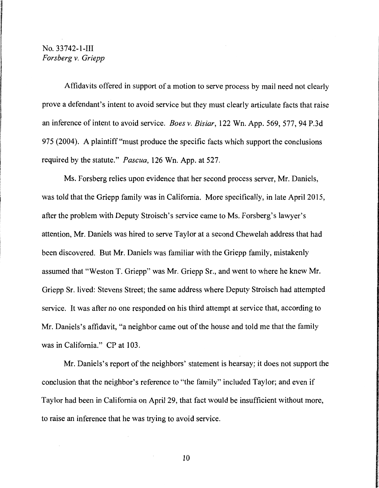Affidavits offered in support of a motion to serve process by mail need not clearly prove a defendant's intent to avoid service but they must clearly articulate facts that raise an inference of intent to avoid service. *Boes v. Bisiar,* 122 Wn. App. 569, 577, 94 P.3d 975 (2004). A plaintiff "must produce the specific facts which support the conclusions required by the statute." *Pascua,* 126 Wn. App. at 527.

Ms. Forsberg relies upon evidence that her second process server, Mr. Daniels, was told that the Griepp family was in California. More specifically, in late April 2015, after the problem with Deputy Stroisch's service came to Ms. Forsberg's lawyer's attention, Mr. Daniels was hired to serve Taylor at a second Chewelah address that had been discovered. But Mr. Daniels was familiar with the Griepp family, mistakenly assumed that "Weston T. Griepp" was Mr. Griepp Sr., and went to where he knew Mr. Griepp Sr. lived: Stevens Street; the same address where Deputy Stroisch had attempted service. It was after no one responded on his third attempt at service that, according to Mr. Daniels's affidavit, "a neighbor came out of the house and told me that the family was in California." CP at 103.

Mr. Daniels's report of the neighbors' statement is hearsay; it does not support the conclusion that the neighbor's reference to "the family" included Taylor; and even if Taylor had been in California on April 29, that fact would be insufficient without more, to raise an inference that he was trying to avoid service.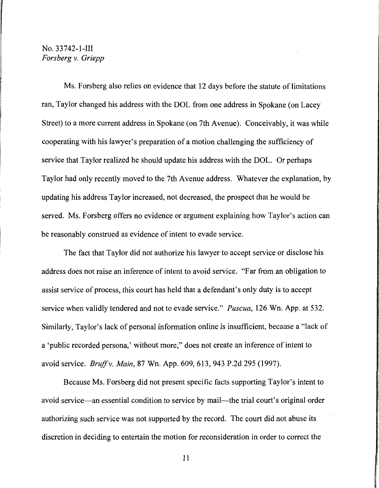Ms. Forsberg also relies on evidence that 12 days before the statute of limitations ran, Taylor changed his address with the DOL from one address in Spokane ( on Lacey Street) to a more current address in Spokane (on 7th Avenue). Conceivably, it was while cooperating with his lawyer's preparation of a motion challenging the sufficiency of service that Taylor realized he should update his address with the DOL. Or perhaps Taylor had only recently moved to the 7th Avenue address. Whatever the explanation, by updating his address Taylor increased, not decreased, the prospect that he would be served. Ms. Forsberg offers no evidence or argument explaining how Taylor's action can be reasonably construed as evidence of intent to evade service.

The fact that Taylor did not authorize his lawyer to accept service or disclose his address does not raise an inference of intent to avoid service. "Far from an obligation to assist service of process, this court has held that a defendant's only duty is to accept service when validly tendered and not to evade service." *Pascua,* 126 Wn. App. at 532. Similarly, Taylor's lack of personal information online is insufficient, because a "lack of a 'public recorded persona,' without more," does not create an inference of intent to avoid service. *Bruff v. Main,* 87 Wn. App. 609, 613, 943 P.2d 295 (1997).

Because Ms. Forsberg did not present specific facts supporting Taylor's intent to avoid service—an essential condition to service by mail—the trial court's original order authorizing such service was not supported by the record. The court did not abuse its discretion in deciding to entertain the motion for reconsideration in order to correct the